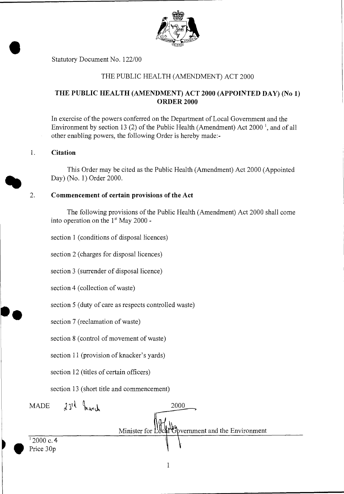

Statutory Document No. 122/00

## THE PUBLIC HEALTH (AMENDMENT) ACT 2000

## THE PUBLIC HEALTH (AMENDMENT) ACT 2000 (APPOINTED DAY) (No 1) ORDER 2000

In exercise of the powers conferred on the Department of Local Government and the Environment by section 13 (2) of the Public Health (Amendment) Act  $2000<sup>-1</sup>$ , and of all other enabling powers, the following Order is hereby made:-

#### 1. Citation

This Order may be cited as the Public Health (Amendment) Act 2000 (Appointed Day) (No. 1) Order 2000.

### 2. Commencement of certain provisions of the Act

The following provisions of the Public Health (Amendment) Act 2000 shall come into operation on the  $1<sup>st</sup>$  May 2000 -

section 1 (conditions of disposal licences)

section 2 (charges for disposal licences)

section 3 (surrender of disposal licence)

section 4 (collection of waste)

section 5 (duty of care as respects controlled waste)

section 7 (reclamation of waste)

section 8 (control of movement of waste)

section 11 (provision of knacker's yards)

section 12 (titles of certain officers)

section 13 (short title and commencement)

2000  $MADE$   $23^{rd}$  march Minister for Hocal Government and the Environment <sup>1</sup> 2000 c. 4<br>Price 30p